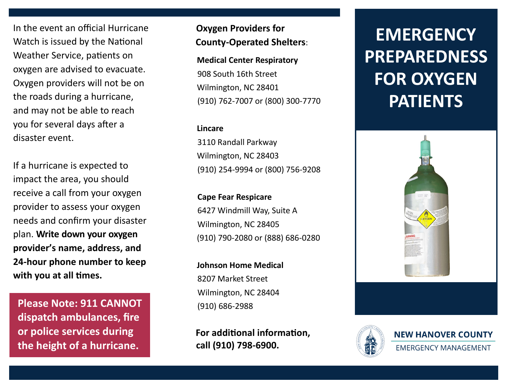In the event an official Hurricane Watch is issued by the National Weather Service, patients on oxygen are advised to evacuate. Oxygen providers will not be on the roads during a hurricane, and may not be able to reach you for several days after a disaster event.

If a hurricane is expected to impact the area, you should receive a call from your oxygen provider to assess your oxygen needs and confirm your disaster plan. **Write down your oxygen provider's name, address, and 24-hour phone number to keep with you at all times.**

**Please Note: 911 CANNOT dispatch ambulances, fire or police services during the height of a hurricane.**

# **Oxygen Providers for County-Operated Shelters**:

**Medical Center Respiratory** 908 South 16th Street Wilmington, NC 28401 (910) 762-7007 or (800) 300-7770

#### **Lincare**

3110 Randall Parkway Wilmington, NC 28403 (910) 254-9994 or (800) 756-9208

**Cape Fear Respicare** 6427 Windmill Way, Suite A Wilmington, NC 28405 (910) 790-2080 or (888) 686-0280

**Johnson Home Medical** 8207 Market Street Wilmington, NC 28404 (910) 686-2988

**For additional information, call (910) 798-6900.**

# **EMERGENCY PREPAREDNESS FOR OXYGEN PATIENTS**



**NEW HANOVER COUNTY** 

**EMERGENCY MANAGEMENT**